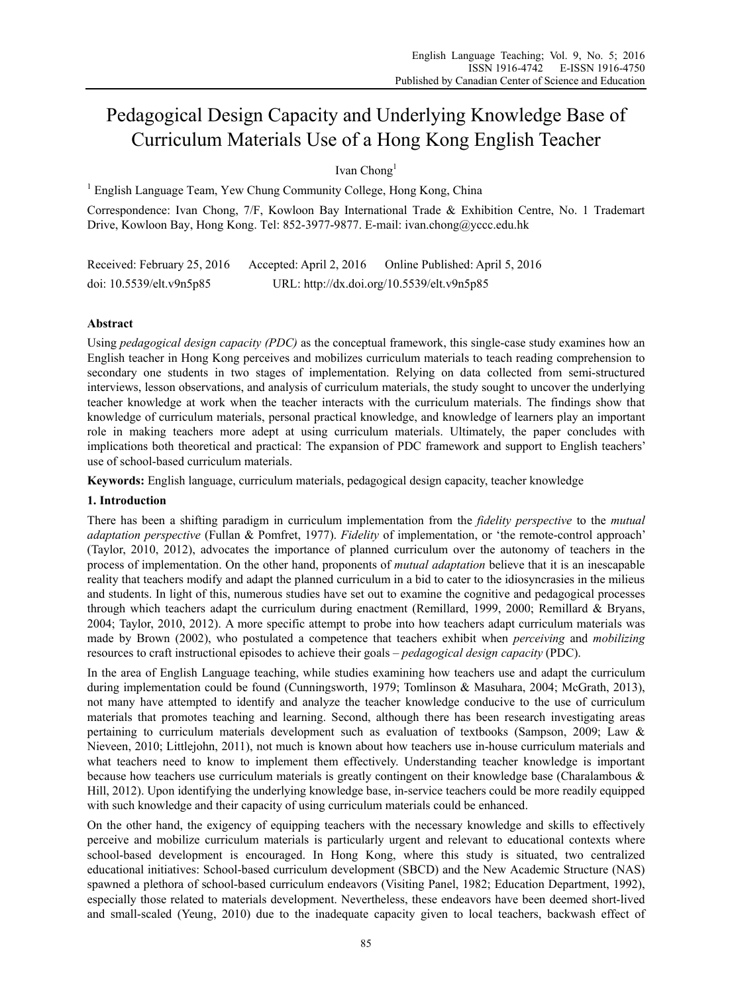# Pedagogical Design Capacity and Underlying Knowledge Base of Curriculum Materials Use of a Hong Kong English Teacher

Ivan Chong<sup>1</sup>

<sup>1</sup> English Language Team, Yew Chung Community College, Hong Kong, China

Correspondence: Ivan Chong, 7/F, Kowloon Bay International Trade & Exhibition Centre, No. 1 Trademart Drive, Kowloon Bay, Hong Kong. Tel: 852-3977-9877. E-mail: ivan.chong@yccc.edu.hk

Received: February 25, 2016 Accepted: April 2, 2016 Online Published: April 5, 2016 doi: 10.5539/elt.v9n5p85 URL: http://dx.doi.org/10.5539/elt.v9n5p85

# **Abstract**

Using *pedagogical design capacity (PDC)* as the conceptual framework, this single-case study examines how an English teacher in Hong Kong perceives and mobilizes curriculum materials to teach reading comprehension to secondary one students in two stages of implementation. Relying on data collected from semi-structured interviews, lesson observations, and analysis of curriculum materials, the study sought to uncover the underlying teacher knowledge at work when the teacher interacts with the curriculum materials. The findings show that knowledge of curriculum materials, personal practical knowledge, and knowledge of learners play an important role in making teachers more adept at using curriculum materials. Ultimately, the paper concludes with implications both theoretical and practical: The expansion of PDC framework and support to English teachers' use of school-based curriculum materials.

**Keywords:** English language, curriculum materials, pedagogical design capacity, teacher knowledge

## **1. Introduction**

There has been a shifting paradigm in curriculum implementation from the *fidelity perspective* to the *mutual adaptation perspective* (Fullan & Pomfret, 1977). *Fidelity* of implementation, or 'the remote-control approach' (Taylor, 2010, 2012), advocates the importance of planned curriculum over the autonomy of teachers in the process of implementation. On the other hand, proponents of *mutual adaptation* believe that it is an inescapable reality that teachers modify and adapt the planned curriculum in a bid to cater to the idiosyncrasies in the milieus and students. In light of this, numerous studies have set out to examine the cognitive and pedagogical processes through which teachers adapt the curriculum during enactment (Remillard, 1999, 2000; Remillard & Bryans, 2004; Taylor, 2010, 2012). A more specific attempt to probe into how teachers adapt curriculum materials was made by Brown (2002), who postulated a competence that teachers exhibit when *perceiving* and *mobilizing* resources to craft instructional episodes to achieve their goals – *pedagogical design capacity* (PDC).

In the area of English Language teaching, while studies examining how teachers use and adapt the curriculum during implementation could be found (Cunningsworth, 1979; Tomlinson & Masuhara, 2004; McGrath, 2013), not many have attempted to identify and analyze the teacher knowledge conducive to the use of curriculum materials that promotes teaching and learning. Second, although there has been research investigating areas pertaining to curriculum materials development such as evaluation of textbooks (Sampson, 2009; Law & Nieveen, 2010; Littlejohn, 2011), not much is known about how teachers use in-house curriculum materials and what teachers need to know to implement them effectively. Understanding teacher knowledge is important because how teachers use curriculum materials is greatly contingent on their knowledge base (Charalambous & Hill, 2012). Upon identifying the underlying knowledge base, in-service teachers could be more readily equipped with such knowledge and their capacity of using curriculum materials could be enhanced.

On the other hand, the exigency of equipping teachers with the necessary knowledge and skills to effectively perceive and mobilize curriculum materials is particularly urgent and relevant to educational contexts where school-based development is encouraged. In Hong Kong, where this study is situated, two centralized educational initiatives: School-based curriculum development (SBCD) and the New Academic Structure (NAS) spawned a plethora of school-based curriculum endeavors (Visiting Panel, 1982; Education Department, 1992), especially those related to materials development. Nevertheless, these endeavors have been deemed short-lived and small-scaled (Yeung, 2010) due to the inadequate capacity given to local teachers, backwash effect of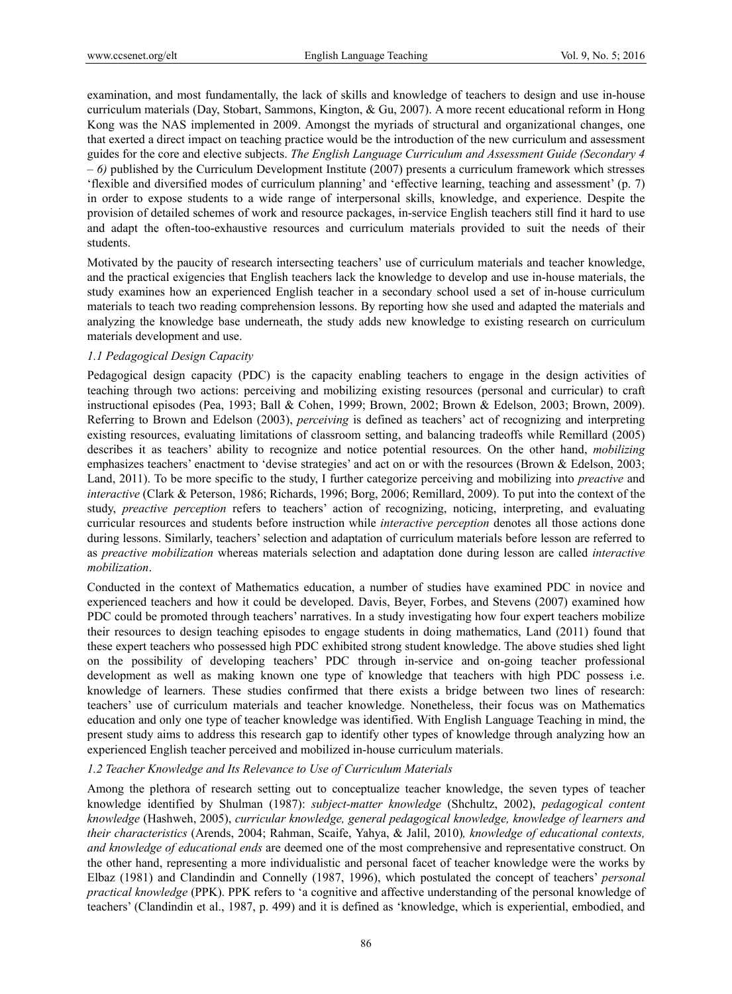examination, and most fundamentally, the lack of skills and knowledge of teachers to design and use in-house curriculum materials (Day, Stobart, Sammons, Kington, & Gu, 2007). A more recent educational reform in Hong Kong was the NAS implemented in 2009. Amongst the myriads of structural and organizational changes, one that exerted a direct impact on teaching practice would be the introduction of the new curriculum and assessment guides for the core and elective subjects. *The English Language Curriculum and Assessment Guide (Secondary 4 – 6)* published by the Curriculum Development Institute (2007) presents a curriculum framework which stresses 'flexible and diversified modes of curriculum planning' and 'effective learning, teaching and assessment' (p. 7) in order to expose students to a wide range of interpersonal skills, knowledge, and experience. Despite the provision of detailed schemes of work and resource packages, in-service English teachers still find it hard to use and adapt the often-too-exhaustive resources and curriculum materials provided to suit the needs of their students.

Motivated by the paucity of research intersecting teachers' use of curriculum materials and teacher knowledge, and the practical exigencies that English teachers lack the knowledge to develop and use in-house materials, the study examines how an experienced English teacher in a secondary school used a set of in-house curriculum materials to teach two reading comprehension lessons. By reporting how she used and adapted the materials and analyzing the knowledge base underneath, the study adds new knowledge to existing research on curriculum materials development and use.

## *1.1 Pedagogical Design Capacity*

Pedagogical design capacity (PDC) is the capacity enabling teachers to engage in the design activities of teaching through two actions: perceiving and mobilizing existing resources (personal and curricular) to craft instructional episodes (Pea, 1993; Ball & Cohen, 1999; Brown, 2002; Brown & Edelson, 2003; Brown, 2009). Referring to Brown and Edelson (2003), *perceiving* is defined as teachers' act of recognizing and interpreting existing resources, evaluating limitations of classroom setting, and balancing tradeoffs while Remillard (2005) describes it as teachers' ability to recognize and notice potential resources. On the other hand, *mobilizing* emphasizes teachers' enactment to 'devise strategies' and act on or with the resources (Brown & Edelson, 2003; Land, 2011). To be more specific to the study, I further categorize perceiving and mobilizing into *preactive* and *interactive* (Clark & Peterson, 1986; Richards, 1996; Borg, 2006; Remillard, 2009). To put into the context of the study, *preactive perception* refers to teachers' action of recognizing, noticing, interpreting, and evaluating curricular resources and students before instruction while *interactive perception* denotes all those actions done during lessons. Similarly, teachers' selection and adaptation of curriculum materials before lesson are referred to as *preactive mobilization* whereas materials selection and adaptation done during lesson are called *interactive mobilization*.

Conducted in the context of Mathematics education, a number of studies have examined PDC in novice and experienced teachers and how it could be developed. Davis, Beyer, Forbes, and Stevens (2007) examined how PDC could be promoted through teachers' narratives. In a study investigating how four expert teachers mobilize their resources to design teaching episodes to engage students in doing mathematics, Land (2011) found that these expert teachers who possessed high PDC exhibited strong student knowledge. The above studies shed light on the possibility of developing teachers' PDC through in-service and on-going teacher professional development as well as making known one type of knowledge that teachers with high PDC possess i.e. knowledge of learners. These studies confirmed that there exists a bridge between two lines of research: teachers' use of curriculum materials and teacher knowledge. Nonetheless, their focus was on Mathematics education and only one type of teacher knowledge was identified. With English Language Teaching in mind, the present study aims to address this research gap to identify other types of knowledge through analyzing how an experienced English teacher perceived and mobilized in-house curriculum materials.

## *1.2 Teacher Knowledge and Its Relevance to Use of Curriculum Materials*

Among the plethora of research setting out to conceptualize teacher knowledge, the seven types of teacher knowledge identified by Shulman (1987): *subject-matter knowledge* (Shchultz, 2002), *pedagogical content knowledge* (Hashweh, 2005), *curricular knowledge, general pedagogical knowledge, knowledge of learners and their characteristics* (Arends, 2004; Rahman, Scaife, Yahya, & Jalil, 2010)*, knowledge of educational contexts, and knowledge of educational ends* are deemed one of the most comprehensive and representative construct. On the other hand, representing a more individualistic and personal facet of teacher knowledge were the works by Elbaz (1981) and Clandindin and Connelly (1987, 1996), which postulated the concept of teachers' *personal practical knowledge* (PPK). PPK refers to 'a cognitive and affective understanding of the personal knowledge of teachers' (Clandindin et al., 1987, p. 499) and it is defined as 'knowledge, which is experiential, embodied, and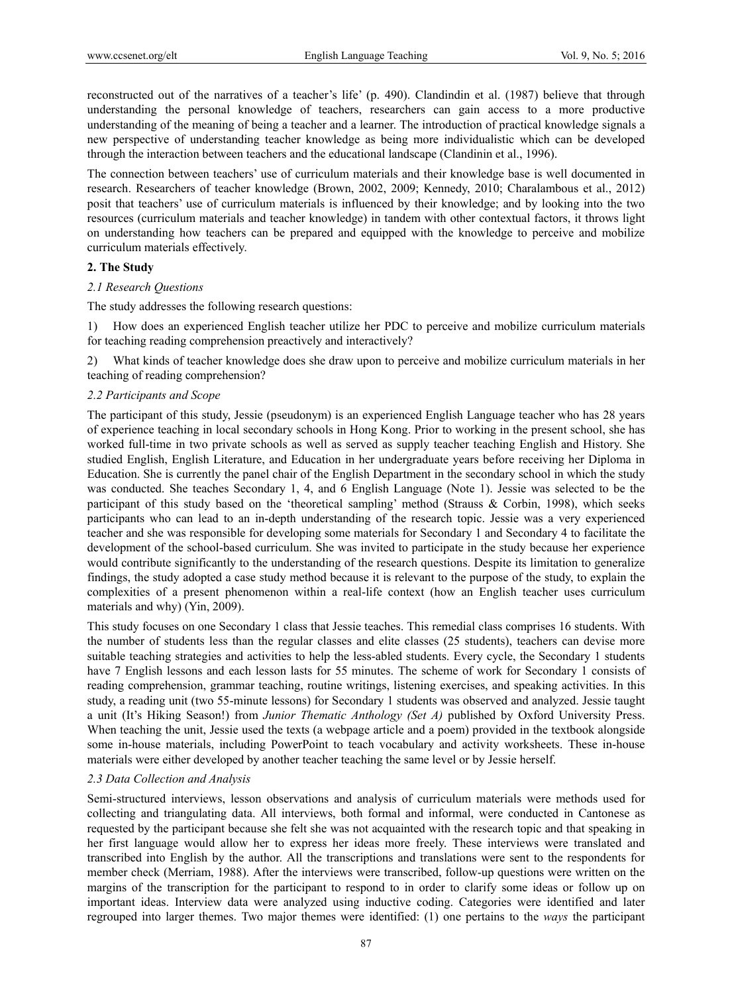reconstructed out of the narratives of a teacher's life' (p. 490). Clandindin et al. (1987) believe that through understanding the personal knowledge of teachers, researchers can gain access to a more productive understanding of the meaning of being a teacher and a learner. The introduction of practical knowledge signals a new perspective of understanding teacher knowledge as being more individualistic which can be developed through the interaction between teachers and the educational landscape (Clandinin et al., 1996).

The connection between teachers' use of curriculum materials and their knowledge base is well documented in research. Researchers of teacher knowledge (Brown, 2002, 2009; Kennedy, 2010; Charalambous et al., 2012) posit that teachers' use of curriculum materials is influenced by their knowledge; and by looking into the two resources (curriculum materials and teacher knowledge) in tandem with other contextual factors, it throws light on understanding how teachers can be prepared and equipped with the knowledge to perceive and mobilize curriculum materials effectively.

## **2. The Study**

#### *2.1 Research Questions*

The study addresses the following research questions:

1) How does an experienced English teacher utilize her PDC to perceive and mobilize curriculum materials for teaching reading comprehension preactively and interactively?

2) What kinds of teacher knowledge does she draw upon to perceive and mobilize curriculum materials in her teaching of reading comprehension?

#### *2.2 Participants and Scope*

The participant of this study, Jessie (pseudonym) is an experienced English Language teacher who has 28 years of experience teaching in local secondary schools in Hong Kong. Prior to working in the present school, she has worked full-time in two private schools as well as served as supply teacher teaching English and History. She studied English, English Literature, and Education in her undergraduate years before receiving her Diploma in Education. She is currently the panel chair of the English Department in the secondary school in which the study was conducted. She teaches Secondary 1, 4, and 6 English Language (Note 1). Jessie was selected to be the participant of this study based on the 'theoretical sampling' method (Strauss & Corbin, 1998), which seeks participants who can lead to an in-depth understanding of the research topic. Jessie was a very experienced teacher and she was responsible for developing some materials for Secondary 1 and Secondary 4 to facilitate the development of the school-based curriculum. She was invited to participate in the study because her experience would contribute significantly to the understanding of the research questions. Despite its limitation to generalize findings, the study adopted a case study method because it is relevant to the purpose of the study, to explain the complexities of a present phenomenon within a real-life context (how an English teacher uses curriculum materials and why) (Yin, 2009).

This study focuses on one Secondary 1 class that Jessie teaches. This remedial class comprises 16 students. With the number of students less than the regular classes and elite classes (25 students), teachers can devise more suitable teaching strategies and activities to help the less-abled students. Every cycle, the Secondary 1 students have 7 English lessons and each lesson lasts for 55 minutes. The scheme of work for Secondary 1 consists of reading comprehension, grammar teaching, routine writings, listening exercises, and speaking activities. In this study, a reading unit (two 55-minute lessons) for Secondary 1 students was observed and analyzed. Jessie taught a unit (It's Hiking Season!) from *Junior Thematic Anthology (Set A)* published by Oxford University Press. When teaching the unit, Jessie used the texts (a webpage article and a poem) provided in the textbook alongside some in-house materials, including PowerPoint to teach vocabulary and activity worksheets. These in-house materials were either developed by another teacher teaching the same level or by Jessie herself.

## *2.3 Data Collection and Analysis*

Semi-structured interviews, lesson observations and analysis of curriculum materials were methods used for collecting and triangulating data. All interviews, both formal and informal, were conducted in Cantonese as requested by the participant because she felt she was not acquainted with the research topic and that speaking in her first language would allow her to express her ideas more freely. These interviews were translated and transcribed into English by the author. All the transcriptions and translations were sent to the respondents for member check (Merriam, 1988). After the interviews were transcribed, follow-up questions were written on the margins of the transcription for the participant to respond to in order to clarify some ideas or follow up on important ideas. Interview data were analyzed using inductive coding. Categories were identified and later regrouped into larger themes. Two major themes were identified: (1) one pertains to the *ways* the participant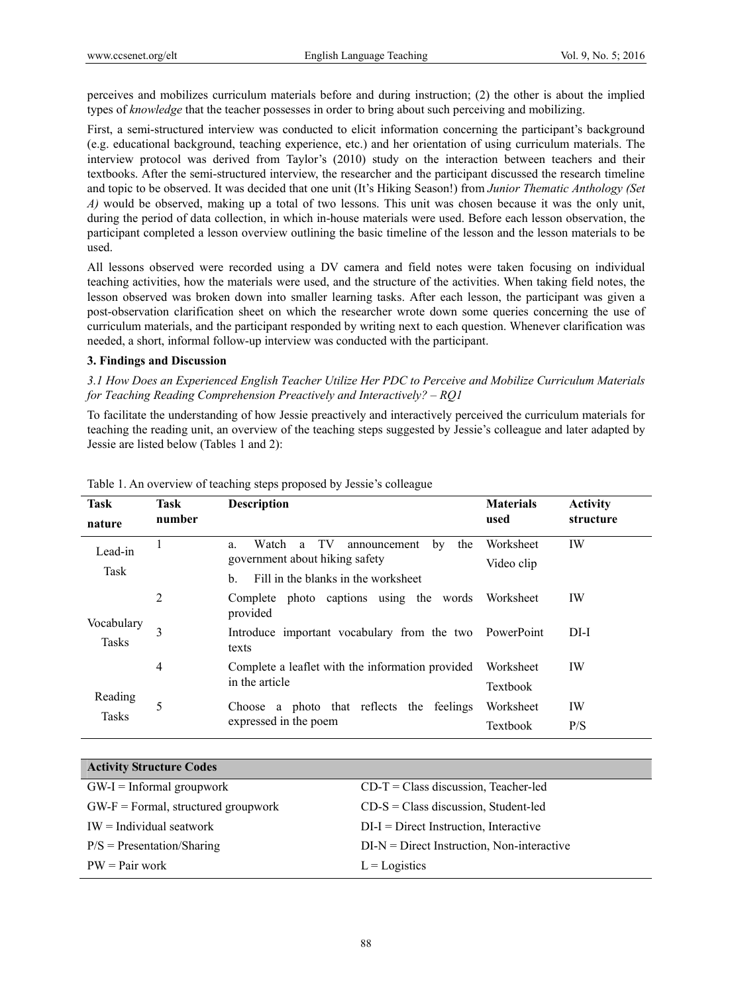perceives and mobilizes curriculum materials before and during instruction; (2) the other is about the implied types of *knowledge* that the teacher possesses in order to bring about such perceiving and mobilizing.

First, a semi-structured interview was conducted to elicit information concerning the participant's background (e.g. educational background, teaching experience, etc.) and her orientation of using curriculum materials. The interview protocol was derived from Taylor's (2010) study on the interaction between teachers and their textbooks. After the semi-structured interview, the researcher and the participant discussed the research timeline and topic to be observed. It was decided that one unit (It's Hiking Season!) from *Junior Thematic Anthology (Set A)* would be observed, making up a total of two lessons. This unit was chosen because it was the only unit, during the period of data collection, in which in-house materials were used. Before each lesson observation, the participant completed a lesson overview outlining the basic timeline of the lesson and the lesson materials to be used.

All lessons observed were recorded using a DV camera and field notes were taken focusing on individual teaching activities, how the materials were used, and the structure of the activities. When taking field notes, the lesson observed was broken down into smaller learning tasks. After each lesson, the participant was given a post-observation clarification sheet on which the researcher wrote down some queries concerning the use of curriculum materials, and the participant responded by writing next to each question. Whenever clarification was needed, a short, informal follow-up interview was conducted with the participant.

#### **3. Findings and Discussion**

*3.1 How Does an Experienced English Teacher Utilize Her PDC to Perceive and Mobilize Curriculum Materials for Teaching Reading Comprehension Preactively and Interactively? – RQ1* 

To facilitate the understanding of how Jessie preactively and interactively perceived the curriculum materials for teaching the reading unit, an overview of the teaching steps suggested by Jessie's colleague and later adapted by Jessie are listed below (Tables 1 and 2):

| <b>Task</b>                | Task   | <b>Description</b>                                                    |                 | <b>Activity</b> |  |
|----------------------------|--------|-----------------------------------------------------------------------|-----------------|-----------------|--|
| nature                     | number |                                                                       | used            | structure       |  |
| Lead-in                    | 1      | TV<br>Watch<br>the<br>announcement<br>a<br>by<br>a.                   | Worksheet       | IW              |  |
| Task                       |        | government about hiking safety                                        | Video clip      |                 |  |
|                            |        | Fill in the blanks in the worksheet<br><sub>b</sub>                   |                 |                 |  |
| Vocabulary<br><b>Tasks</b> | 2      | Complete photo captions using the words<br>provided                   | Worksheet       | IW              |  |
|                            | 3      | Introduce important vocabulary from the two PowerPoint<br>texts       |                 | $DI-I$          |  |
|                            | 4      | Complete a leaflet with the information provided                      | Worksheet       | IW              |  |
| Reading<br>Tasks           | 5      | in the article                                                        | <b>Textbook</b> |                 |  |
|                            |        | Choose a photo that reflects the<br>feelings<br>expressed in the poem | Worksheet       | IW              |  |
|                            |        |                                                                       | Textbook        | P/S             |  |

Table 1. An overview of teaching steps proposed by Jessie's colleague

| <b>Activity Structure Codes</b>        |                                              |
|----------------------------------------|----------------------------------------------|
| $GW-I = Informal groupwork$            | $CD-T = Class$ discussion, Teacher-led       |
| $GW-F = Formal$ , structured groupwork | $CD-S = Class$ discussion, Student-led       |
| $IW = Individual$ seatwork             | $DI-I = Direct Instruction, Interactive$     |
| $P/S =$ Presentation/Sharing           | $DI-N = Direct Instruction, Non-interactive$ |
| $PW = Pair work$                       | $L =$ Logistics                              |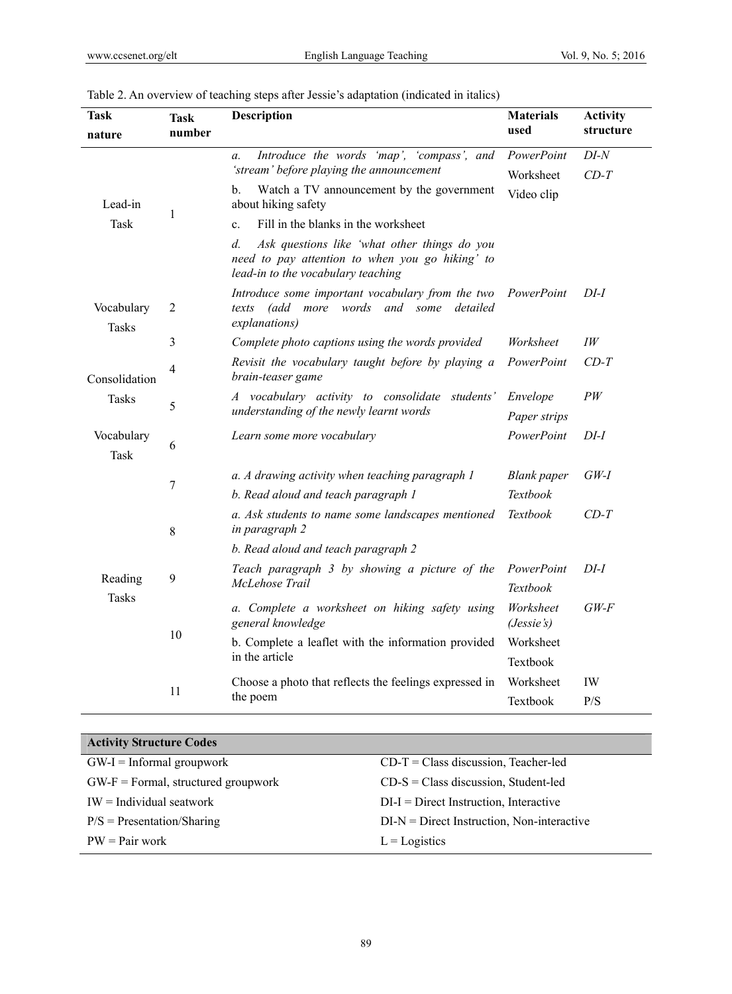| <b>Task</b>             | <b>Task</b>  | Description                                                                                                                                 | <b>Materials</b>         | <b>Activity</b>  |  |
|-------------------------|--------------|---------------------------------------------------------------------------------------------------------------------------------------------|--------------------------|------------------|--|
| nature                  | number       |                                                                                                                                             | used                     | structure        |  |
| Lead-in<br>Task         | $\mathbf{1}$ | Introduce the words 'map', 'compass', and<br>$\mathfrak{a}$ .<br>'stream' before playing the announcement                                   | PowerPoint<br>Worksheet  | $DI-N$<br>$CD-T$ |  |
|                         |              | Watch a TV announcement by the government<br>b.<br>about hiking safety                                                                      | Video clip               |                  |  |
|                         |              | Fill in the blanks in the worksheet<br>c.                                                                                                   |                          |                  |  |
|                         |              | Ask questions like 'what other things do you<br>d.<br>need to pay attention to when you go hiking' to<br>lead-in to the vocabulary teaching |                          |                  |  |
| Vocabulary<br>Tasks     | 2            | Introduce some important vocabulary from the two<br>(add more words and some<br>detailed<br>texts<br>explanations)                          | PowerPoint               | $DI-I$           |  |
|                         | 3            | Complete photo captions using the words provided                                                                                            | Worksheet                | IW               |  |
| Consolidation<br>Tasks  | 4            | Revisit the vocabulary taught before by playing a<br>brain-teaser game                                                                      | PowerPoint               | $CD-T$           |  |
|                         | 5            | A vocabulary activity to consolidate students'<br>understanding of the newly learnt words                                                   | Envelope<br>Paper strips | PW               |  |
| Vocabulary<br>Task      | 6            | Learn some more vocabulary                                                                                                                  | PowerPoint               | $DI-I$           |  |
| Reading<br><b>Tasks</b> | $\tau$       | a. A drawing activity when teaching paragraph 1                                                                                             | <b>Blank</b> paper       | $GW-I$           |  |
|                         |              | b. Read aloud and teach paragraph 1                                                                                                         | Textbook                 |                  |  |
|                         | $\,8\,$      | a. Ask students to name some landscapes mentioned<br>in paragraph 2                                                                         | Textbook                 | $CD-T$           |  |
|                         |              | b. Read aloud and teach paragraph 2                                                                                                         |                          |                  |  |
|                         | 9            | Teach paragraph 3 by showing a picture of the<br>McLehose Trail                                                                             | PowerPoint<br>Textbook   | DI-I             |  |
|                         | 10           | a. Complete a worksheet on hiking safety using<br>general knowledge                                                                         | Worksheet<br>(Jessie's)  | $GW-F$           |  |
|                         |              | b. Complete a leaflet with the information provided                                                                                         | Worksheet                |                  |  |
|                         |              | in the article                                                                                                                              | Textbook                 |                  |  |
|                         | 11           | Choose a photo that reflects the feelings expressed in                                                                                      | Worksheet                | IW               |  |
|                         |              | the poem                                                                                                                                    | Textbook                 | P/S              |  |

| Table 2. An overview of teaching steps after Jessie's adaptation (indicated in italics) |  |  |  |
|-----------------------------------------------------------------------------------------|--|--|--|
|                                                                                         |  |  |  |

| <b>Activity Structure Codes</b>        |                                              |
|----------------------------------------|----------------------------------------------|
| $GW-I = Informal groupwork$            | $CD-T = Class$ discussion, Teacher-led       |
| $GW-F = Formal$ , structured groupwork | $CD-S = Class$ discussion, Student-led       |
| $IW = Individual$ seatwork             | $DI-I = Direct Instruction, Interactive$     |
| $P/S =$ Presentation/Sharing           | $DI-N = Direct Instruction, Non-interactive$ |
| $PW = Pair work$                       | $L =$ Logistics                              |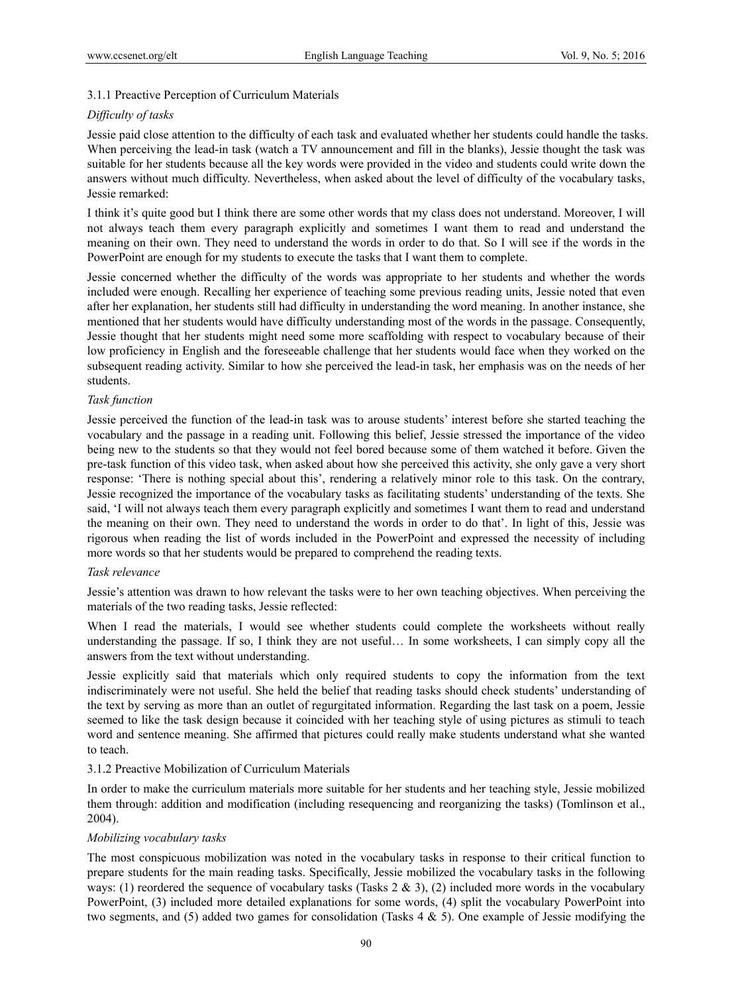## 3.1.1 Preactive Perception of Curriculum Materials

## *Difficulty of tasks*

Jessie paid close attention to the difficulty of each task and evaluated whether her students could handle the tasks. When perceiving the lead-in task (watch a TV announcement and fill in the blanks), Jessie thought the task was suitable for her students because all the key words were provided in the video and students could write down the answers without much difficulty. Nevertheless, when asked about the level of difficulty of the vocabulary tasks, Jessie remarked:

I think it's quite good but I think there are some other words that my class does not understand. Moreover, I will not always teach them every paragraph explicitly and sometimes I want them to read and understand the meaning on their own. They need to understand the words in order to do that. So I will see if the words in the PowerPoint are enough for my students to execute the tasks that I want them to complete.

Jessie concerned whether the difficulty of the words was appropriate to her students and whether the words included were enough. Recalling her experience of teaching some previous reading units, Jessie noted that even after her explanation, her students still had difficulty in understanding the word meaning. In another instance, she mentioned that her students would have difficulty understanding most of the words in the passage. Consequently, Jessie thought that her students might need some more scaffolding with respect to vocabulary because of their low proficiency in English and the foreseeable challenge that her students would face when they worked on the subsequent reading activity. Similar to how she perceived the lead-in task, her emphasis was on the needs of her students.

## *Task function*

Jessie perceived the function of the lead-in task was to arouse students' interest before she started teaching the vocabulary and the passage in a reading unit. Following this belief, Jessie stressed the importance of the video being new to the students so that they would not feel bored because some of them watched it before. Given the pre-task function of this video task, when asked about how she perceived this activity, she only gave a very short response: 'There is nothing special about this', rendering a relatively minor role to this task. On the contrary, Jessie recognized the importance of the vocabulary tasks as facilitating students' understanding of the texts. She said, 'I will not always teach them every paragraph explicitly and sometimes I want them to read and understand the meaning on their own. They need to understand the words in order to do that'. In light of this, Jessie was rigorous when reading the list of words included in the PowerPoint and expressed the necessity of including more words so that her students would be prepared to comprehend the reading texts.

## *Task relevance*

Jessie's attention was drawn to how relevant the tasks were to her own teaching objectives. When perceiving the materials of the two reading tasks, Jessie reflected:

When I read the materials, I would see whether students could complete the worksheets without really understanding the passage. If so, I think they are not useful… In some worksheets, I can simply copy all the answers from the text without understanding.

Jessie explicitly said that materials which only required students to copy the information from the text indiscriminately were not useful. She held the belief that reading tasks should check students' understanding of the text by serving as more than an outlet of regurgitated information. Regarding the last task on a poem, Jessie seemed to like the task design because it coincided with her teaching style of using pictures as stimuli to teach word and sentence meaning. She affirmed that pictures could really make students understand what she wanted to teach.

# 3.1.2 Preactive Mobilization of Curriculum Materials

In order to make the curriculum materials more suitable for her students and her teaching style, Jessie mobilized them through: addition and modification (including resequencing and reorganizing the tasks) (Tomlinson et al., 2004).

## *Mobilizing vocabulary tasks*

The most conspicuous mobilization was noted in the vocabulary tasks in response to their critical function to prepare students for the main reading tasks. Specifically, Jessie mobilized the vocabulary tasks in the following ways: (1) reordered the sequence of vocabulary tasks (Tasks  $2 \& 3$ ), (2) included more words in the vocabulary PowerPoint, (3) included more detailed explanations for some words, (4) split the vocabulary PowerPoint into two segments, and (5) added two games for consolidation (Tasks  $4 \& 5$ ). One example of Jessie modifying the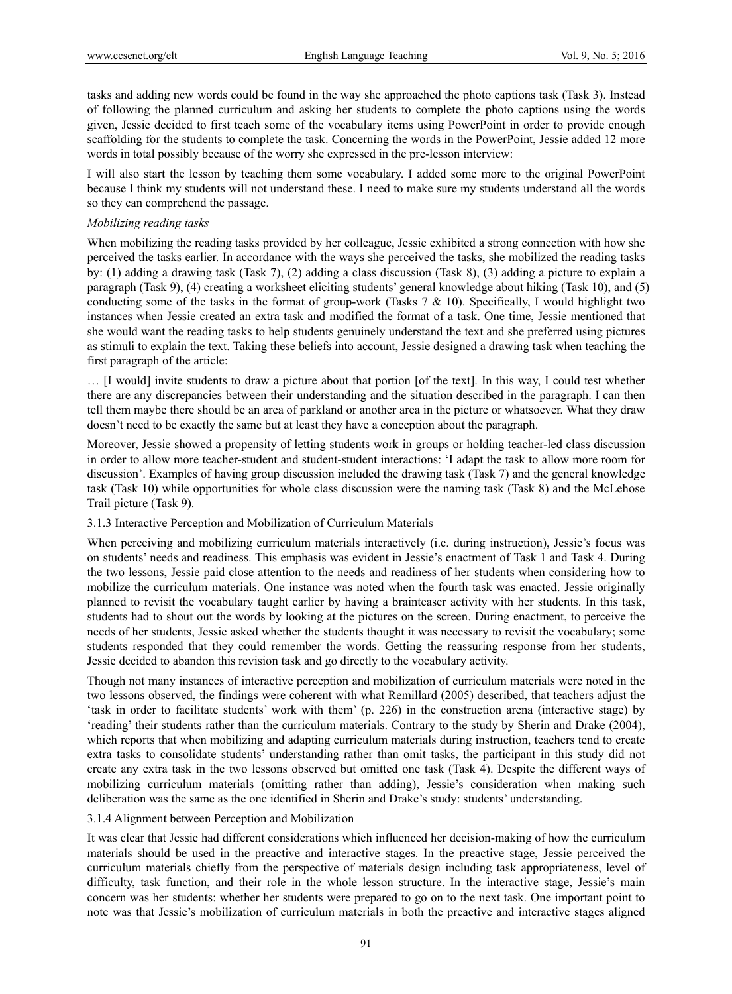tasks and adding new words could be found in the way she approached the photo captions task (Task 3). Instead of following the planned curriculum and asking her students to complete the photo captions using the words given, Jessie decided to first teach some of the vocabulary items using PowerPoint in order to provide enough scaffolding for the students to complete the task. Concerning the words in the PowerPoint, Jessie added 12 more words in total possibly because of the worry she expressed in the pre-lesson interview:

I will also start the lesson by teaching them some vocabulary. I added some more to the original PowerPoint because I think my students will not understand these. I need to make sure my students understand all the words so they can comprehend the passage.

#### *Mobilizing reading tasks*

When mobilizing the reading tasks provided by her colleague, Jessie exhibited a strong connection with how she perceived the tasks earlier. In accordance with the ways she perceived the tasks, she mobilized the reading tasks by: (1) adding a drawing task (Task 7), (2) adding a class discussion (Task 8), (3) adding a picture to explain a paragraph (Task 9), (4) creating a worksheet eliciting students' general knowledge about hiking (Task 10), and (5) conducting some of the tasks in the format of group-work (Tasks  $7 \& 10$ ). Specifically, I would highlight two instances when Jessie created an extra task and modified the format of a task. One time, Jessie mentioned that she would want the reading tasks to help students genuinely understand the text and she preferred using pictures as stimuli to explain the text. Taking these beliefs into account, Jessie designed a drawing task when teaching the first paragraph of the article:

… [I would] invite students to draw a picture about that portion [of the text]. In this way, I could test whether there are any discrepancies between their understanding and the situation described in the paragraph. I can then tell them maybe there should be an area of parkland or another area in the picture or whatsoever. What they draw doesn't need to be exactly the same but at least they have a conception about the paragraph.

Moreover, Jessie showed a propensity of letting students work in groups or holding teacher-led class discussion in order to allow more teacher-student and student-student interactions: 'I adapt the task to allow more room for discussion'. Examples of having group discussion included the drawing task (Task 7) and the general knowledge task (Task 10) while opportunities for whole class discussion were the naming task (Task 8) and the McLehose Trail picture (Task 9).

## 3.1.3 Interactive Perception and Mobilization of Curriculum Materials

When perceiving and mobilizing curriculum materials interactively (i.e. during instruction), Jessie's focus was on students' needs and readiness. This emphasis was evident in Jessie's enactment of Task 1 and Task 4. During the two lessons, Jessie paid close attention to the needs and readiness of her students when considering how to mobilize the curriculum materials. One instance was noted when the fourth task was enacted. Jessie originally planned to revisit the vocabulary taught earlier by having a brainteaser activity with her students. In this task, students had to shout out the words by looking at the pictures on the screen. During enactment, to perceive the needs of her students, Jessie asked whether the students thought it was necessary to revisit the vocabulary; some students responded that they could remember the words. Getting the reassuring response from her students, Jessie decided to abandon this revision task and go directly to the vocabulary activity.

Though not many instances of interactive perception and mobilization of curriculum materials were noted in the two lessons observed, the findings were coherent with what Remillard (2005) described, that teachers adjust the 'task in order to facilitate students' work with them' (p. 226) in the construction arena (interactive stage) by 'reading' their students rather than the curriculum materials. Contrary to the study by Sherin and Drake (2004), which reports that when mobilizing and adapting curriculum materials during instruction, teachers tend to create extra tasks to consolidate students' understanding rather than omit tasks, the participant in this study did not create any extra task in the two lessons observed but omitted one task (Task 4). Despite the different ways of mobilizing curriculum materials (omitting rather than adding), Jessie's consideration when making such deliberation was the same as the one identified in Sherin and Drake's study: students' understanding.

## 3.1.4 Alignment between Perception and Mobilization

It was clear that Jessie had different considerations which influenced her decision-making of how the curriculum materials should be used in the preactive and interactive stages. In the preactive stage, Jessie perceived the curriculum materials chiefly from the perspective of materials design including task appropriateness, level of difficulty, task function, and their role in the whole lesson structure. In the interactive stage, Jessie's main concern was her students: whether her students were prepared to go on to the next task. One important point to note was that Jessie's mobilization of curriculum materials in both the preactive and interactive stages aligned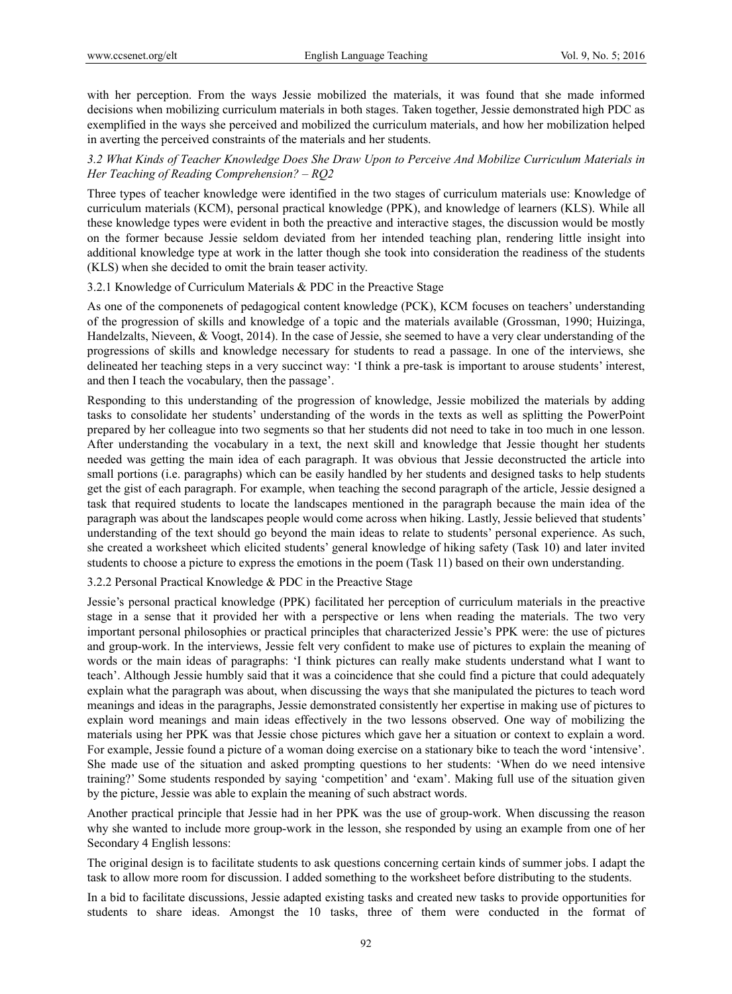with her perception. From the ways Jessie mobilized the materials, it was found that she made informed decisions when mobilizing curriculum materials in both stages. Taken together, Jessie demonstrated high PDC as exemplified in the ways she perceived and mobilized the curriculum materials, and how her mobilization helped in averting the perceived constraints of the materials and her students.

# *3.2 What Kinds of Teacher Knowledge Does She Draw Upon to Perceive And Mobilize Curriculum Materials in Her Teaching of Reading Comprehension? – RQ2*

Three types of teacher knowledge were identified in the two stages of curriculum materials use: Knowledge of curriculum materials (KCM), personal practical knowledge (PPK), and knowledge of learners (KLS). While all these knowledge types were evident in both the preactive and interactive stages, the discussion would be mostly on the former because Jessie seldom deviated from her intended teaching plan, rendering little insight into additional knowledge type at work in the latter though she took into consideration the readiness of the students (KLS) when she decided to omit the brain teaser activity.

#### 3.2.1 Knowledge of Curriculum Materials & PDC in the Preactive Stage

As one of the componenets of pedagogical content knowledge (PCK), KCM focuses on teachers' understanding of the progression of skills and knowledge of a topic and the materials available (Grossman, 1990; Huizinga, Handelzalts, Nieveen, & Voogt, 2014). In the case of Jessie, she seemed to have a very clear understanding of the progressions of skills and knowledge necessary for students to read a passage. In one of the interviews, she delineated her teaching steps in a very succinct way: 'I think a pre-task is important to arouse students' interest, and then I teach the vocabulary, then the passage'.

Responding to this understanding of the progression of knowledge, Jessie mobilized the materials by adding tasks to consolidate her students' understanding of the words in the texts as well as splitting the PowerPoint prepared by her colleague into two segments so that her students did not need to take in too much in one lesson. After understanding the vocabulary in a text, the next skill and knowledge that Jessie thought her students needed was getting the main idea of each paragraph. It was obvious that Jessie deconstructed the article into small portions (i.e. paragraphs) which can be easily handled by her students and designed tasks to help students get the gist of each paragraph. For example, when teaching the second paragraph of the article, Jessie designed a task that required students to locate the landscapes mentioned in the paragraph because the main idea of the paragraph was about the landscapes people would come across when hiking. Lastly, Jessie believed that students' understanding of the text should go beyond the main ideas to relate to students' personal experience. As such, she created a worksheet which elicited students' general knowledge of hiking safety (Task 10) and later invited students to choose a picture to express the emotions in the poem (Task 11) based on their own understanding.

## 3.2.2 Personal Practical Knowledge & PDC in the Preactive Stage

Jessie's personal practical knowledge (PPK) facilitated her perception of curriculum materials in the preactive stage in a sense that it provided her with a perspective or lens when reading the materials. The two very important personal philosophies or practical principles that characterized Jessie's PPK were: the use of pictures and group-work. In the interviews, Jessie felt very confident to make use of pictures to explain the meaning of words or the main ideas of paragraphs: 'I think pictures can really make students understand what I want to teach'. Although Jessie humbly said that it was a coincidence that she could find a picture that could adequately explain what the paragraph was about, when discussing the ways that she manipulated the pictures to teach word meanings and ideas in the paragraphs, Jessie demonstrated consistently her expertise in making use of pictures to explain word meanings and main ideas effectively in the two lessons observed. One way of mobilizing the materials using her PPK was that Jessie chose pictures which gave her a situation or context to explain a word. For example, Jessie found a picture of a woman doing exercise on a stationary bike to teach the word 'intensive'. She made use of the situation and asked prompting questions to her students: 'When do we need intensive training?' Some students responded by saying 'competition' and 'exam'. Making full use of the situation given by the picture, Jessie was able to explain the meaning of such abstract words.

Another practical principle that Jessie had in her PPK was the use of group-work. When discussing the reason why she wanted to include more group-work in the lesson, she responded by using an example from one of her Secondary 4 English lessons:

The original design is to facilitate students to ask questions concerning certain kinds of summer jobs. I adapt the task to allow more room for discussion. I added something to the worksheet before distributing to the students.

In a bid to facilitate discussions, Jessie adapted existing tasks and created new tasks to provide opportunities for students to share ideas. Amongst the 10 tasks, three of them were conducted in the format of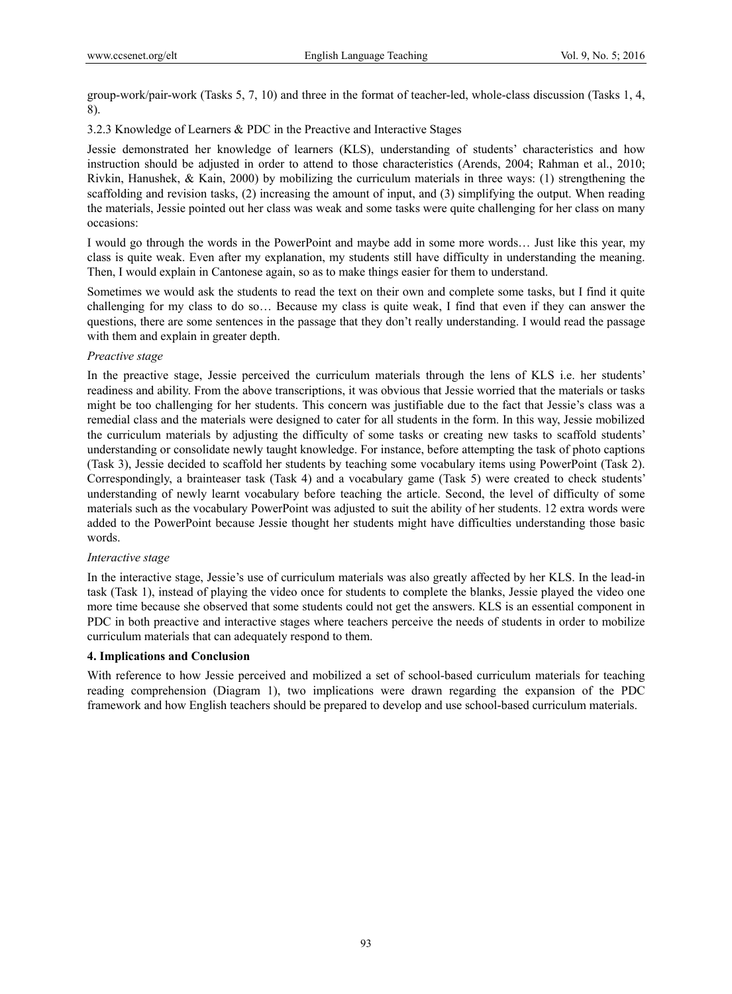group-work/pair-work (Tasks 5, 7, 10) and three in the format of teacher-led, whole-class discussion (Tasks 1, 4, 8).

3.2.3 Knowledge of Learners & PDC in the Preactive and Interactive Stages

Jessie demonstrated her knowledge of learners (KLS), understanding of students' characteristics and how instruction should be adjusted in order to attend to those characteristics (Arends, 2004; Rahman et al., 2010; Rivkin, Hanushek, & Kain, 2000) by mobilizing the curriculum materials in three ways: (1) strengthening the scaffolding and revision tasks, (2) increasing the amount of input, and (3) simplifying the output. When reading the materials, Jessie pointed out her class was weak and some tasks were quite challenging for her class on many occasions:

I would go through the words in the PowerPoint and maybe add in some more words… Just like this year, my class is quite weak. Even after my explanation, my students still have difficulty in understanding the meaning. Then, I would explain in Cantonese again, so as to make things easier for them to understand.

Sometimes we would ask the students to read the text on their own and complete some tasks, but I find it quite challenging for my class to do so… Because my class is quite weak, I find that even if they can answer the questions, there are some sentences in the passage that they don't really understanding. I would read the passage with them and explain in greater depth.

# *Preactive stage*

In the preactive stage, Jessie perceived the curriculum materials through the lens of KLS i.e. her students' readiness and ability. From the above transcriptions, it was obvious that Jessie worried that the materials or tasks might be too challenging for her students. This concern was justifiable due to the fact that Jessie's class was a remedial class and the materials were designed to cater for all students in the form. In this way, Jessie mobilized the curriculum materials by adjusting the difficulty of some tasks or creating new tasks to scaffold students' understanding or consolidate newly taught knowledge. For instance, before attempting the task of photo captions (Task 3), Jessie decided to scaffold her students by teaching some vocabulary items using PowerPoint (Task 2). Correspondingly, a brainteaser task (Task 4) and a vocabulary game (Task 5) were created to check students' understanding of newly learnt vocabulary before teaching the article. Second, the level of difficulty of some materials such as the vocabulary PowerPoint was adjusted to suit the ability of her students. 12 extra words were added to the PowerPoint because Jessie thought her students might have difficulties understanding those basic words.

## *Interactive stage*

In the interactive stage, Jessie's use of curriculum materials was also greatly affected by her KLS. In the lead-in task (Task 1), instead of playing the video once for students to complete the blanks, Jessie played the video one more time because she observed that some students could not get the answers. KLS is an essential component in PDC in both preactive and interactive stages where teachers perceive the needs of students in order to mobilize curriculum materials that can adequately respond to them.

## **4. Implications and Conclusion**

With reference to how Jessie perceived and mobilized a set of school-based curriculum materials for teaching reading comprehension (Diagram 1), two implications were drawn regarding the expansion of the PDC framework and how English teachers should be prepared to develop and use school-based curriculum materials.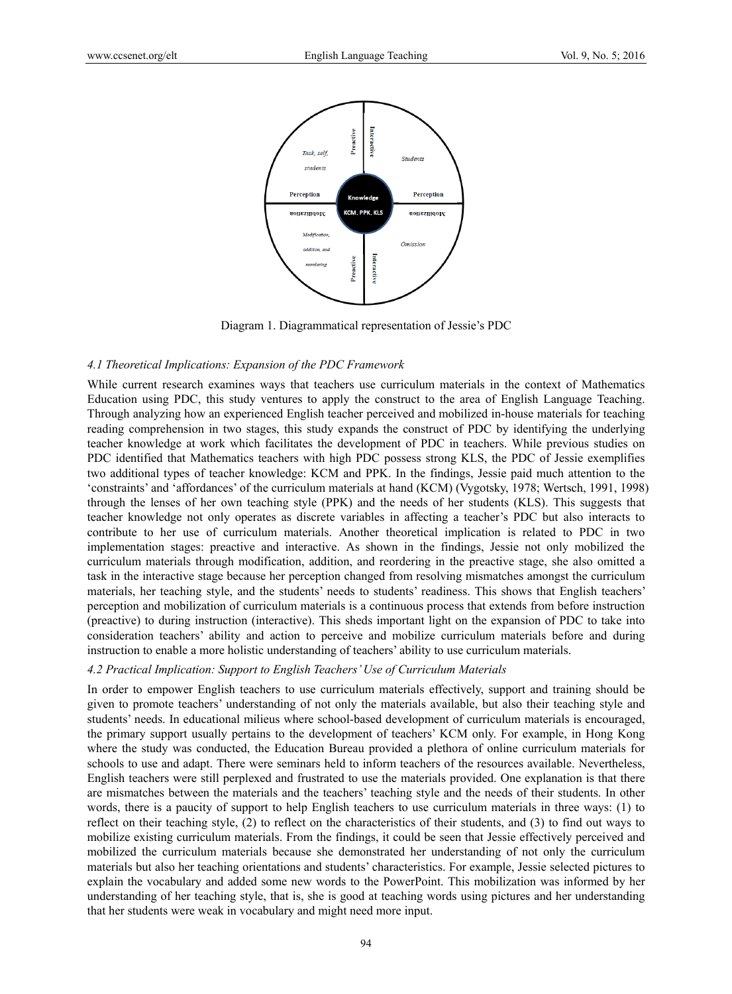

Diagram 1. Diagrammatical representation of Jessie's PDC

#### *4.1 Theoretical Implications: Expansion of the PDC Framework*

While current research examines ways that teachers use curriculum materials in the context of Mathematics Education using PDC, this study ventures to apply the construct to the area of English Language Teaching. Through analyzing how an experienced English teacher perceived and mobilized in-house materials for teaching reading comprehension in two stages, this study expands the construct of PDC by identifying the underlying teacher knowledge at work which facilitates the development of PDC in teachers. While previous studies on PDC identified that Mathematics teachers with high PDC possess strong KLS, the PDC of Jessie exemplifies two additional types of teacher knowledge: KCM and PPK. In the findings, Jessie paid much attention to the 'constraints' and 'affordances' of the curriculum materials at hand (KCM) (Vygotsky, 1978; Wertsch, 1991, 1998) through the lenses of her own teaching style (PPK) and the needs of her students (KLS). This suggests that teacher knowledge not only operates as discrete variables in affecting a teacher's PDC but also interacts to contribute to her use of curriculum materials. Another theoretical implication is related to PDC in two implementation stages: preactive and interactive. As shown in the findings, Jessie not only mobilized the curriculum materials through modification, addition, and reordering in the preactive stage, she also omitted a task in the interactive stage because her perception changed from resolving mismatches amongst the curriculum materials, her teaching style, and the students' needs to students' readiness. This shows that English teachers' perception and mobilization of curriculum materials is a continuous process that extends from before instruction (preactive) to during instruction (interactive). This sheds important light on the expansion of PDC to take into consideration teachers' ability and action to perceive and mobilize curriculum materials before and during instruction to enable a more holistic understanding of teachers' ability to use curriculum materials.

#### *4.2 Practical Implication: Support to English Teachers' Use of Curriculum Materials*

In order to empower English teachers to use curriculum materials effectively, support and training should be given to promote teachers' understanding of not only the materials available, but also their teaching style and students' needs. In educational milieus where school-based development of curriculum materials is encouraged, the primary support usually pertains to the development of teachers' KCM only. For example, in Hong Kong where the study was conducted, the Education Bureau provided a plethora of online curriculum materials for schools to use and adapt. There were seminars held to inform teachers of the resources available. Nevertheless, English teachers were still perplexed and frustrated to use the materials provided. One explanation is that there are mismatches between the materials and the teachers' teaching style and the needs of their students. In other words, there is a paucity of support to help English teachers to use curriculum materials in three ways: (1) to reflect on their teaching style, (2) to reflect on the characteristics of their students, and (3) to find out ways to mobilize existing curriculum materials. From the findings, it could be seen that Jessie effectively perceived and mobilized the curriculum materials because she demonstrated her understanding of not only the curriculum materials but also her teaching orientations and students' characteristics. For example, Jessie selected pictures to explain the vocabulary and added some new words to the PowerPoint. This mobilization was informed by her understanding of her teaching style, that is, she is good at teaching words using pictures and her understanding that her students were weak in vocabulary and might need more input.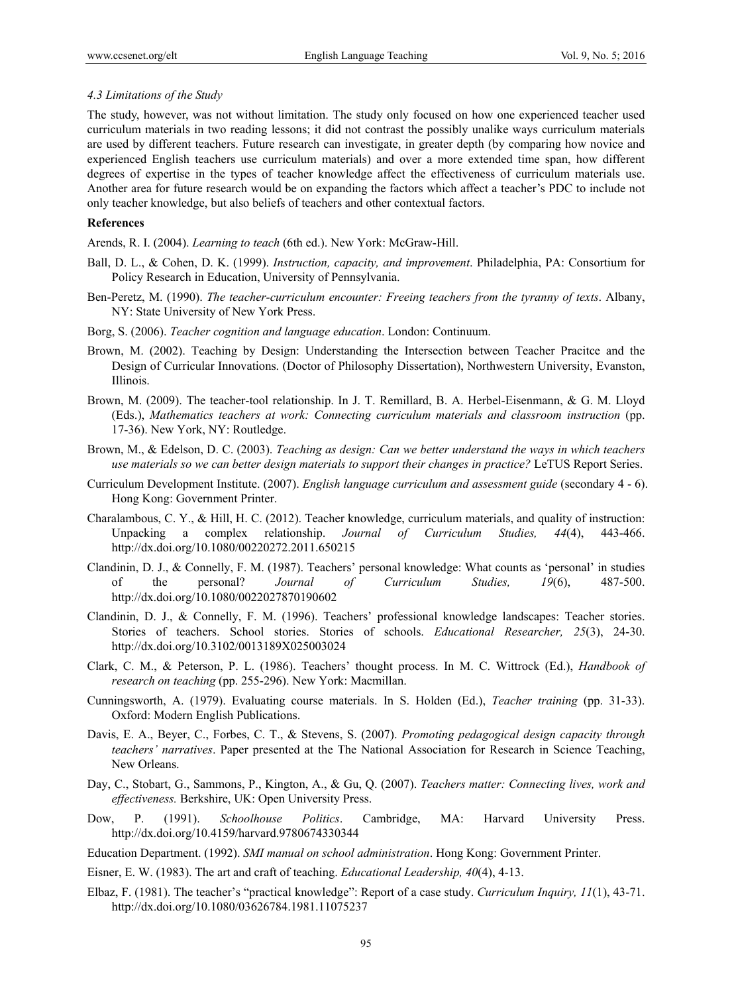#### *4.3 Limitations of the Study*

The study, however, was not without limitation. The study only focused on how one experienced teacher used curriculum materials in two reading lessons; it did not contrast the possibly unalike ways curriculum materials are used by different teachers. Future research can investigate, in greater depth (by comparing how novice and experienced English teachers use curriculum materials) and over a more extended time span, how different degrees of expertise in the types of teacher knowledge affect the effectiveness of curriculum materials use. Another area for future research would be on expanding the factors which affect a teacher's PDC to include not only teacher knowledge, but also beliefs of teachers and other contextual factors.

#### **References**

Arends, R. I. (2004). *Learning to teach* (6th ed.). New York: McGraw-Hill.

- Ball, D. L., & Cohen, D. K. (1999). *Instruction, capacity, and improvement*. Philadelphia, PA: Consortium for Policy Research in Education, University of Pennsylvania.
- Ben-Peretz, M. (1990). *The teacher-curriculum encounter: Freeing teachers from the tyranny of texts*. Albany, NY: State University of New York Press.
- Borg, S. (2006). *Teacher cognition and language education*. London: Continuum.
- Brown, M. (2002). Teaching by Design: Understanding the Intersection between Teacher Pracitce and the Design of Curricular Innovations. (Doctor of Philosophy Dissertation), Northwestern University, Evanston, Illinois.
- Brown, M. (2009). The teacher-tool relationship. In J. T. Remillard, B. A. Herbel-Eisenmann, & G. M. Lloyd (Eds.), *Mathematics teachers at work: Connecting curriculum materials and classroom instruction* (pp. 17-36). New York, NY: Routledge.
- Brown, M., & Edelson, D. C. (2003). *Teaching as design: Can we better understand the ways in which teachers use materials so we can better design materials to support their changes in practice?* LeTUS Report Series.
- Curriculum Development Institute. (2007). *English language curriculum and assessment guide* (secondary 4 6). Hong Kong: Government Printer.
- Charalambous, C. Y., & Hill, H. C. (2012). Teacher knowledge, curriculum materials, and quality of instruction: Unpacking a complex relationship. *Journal of Curriculum Studies, 44*(4), 443-466. http://dx.doi.org/10.1080/00220272.2011.650215
- Clandinin, D. J., & Connelly, F. M. (1987). Teachers' personal knowledge: What counts as 'personal' in studies of the personal? *Journal of Curriculum Studies, 19*(6), 487-500. http://dx.doi.org/10.1080/0022027870190602
- Clandinin, D. J., & Connelly, F. M. (1996). Teachers' professional knowledge landscapes: Teacher stories. Stories of teachers. School stories. Stories of schools. *Educational Researcher, 25*(3), 24-30. http://dx.doi.org/10.3102/0013189X025003024
- Clark, C. M., & Peterson, P. L. (1986). Teachers' thought process. In M. C. Wittrock (Ed.), *Handbook of research on teaching* (pp. 255-296). New York: Macmillan.
- Cunningsworth, A. (1979). Evaluating course materials. In S. Holden (Ed.), *Teacher training* (pp. 31-33). Oxford: Modern English Publications.
- Davis, E. A., Beyer, C., Forbes, C. T., & Stevens, S. (2007). *Promoting pedagogical design capacity through teachers' narratives*. Paper presented at the The National Association for Research in Science Teaching, New Orleans.
- Day, C., Stobart, G., Sammons, P., Kington, A., & Gu, Q. (2007). *Teachers matter: Connecting lives, work and effectiveness.* Berkshire, UK: Open University Press.
- Dow, P. (1991). *Schoolhouse Politics*. Cambridge, MA: Harvard University Press. http://dx.doi.org/10.4159/harvard.9780674330344
- Education Department. (1992). *SMI manual on school administration*. Hong Kong: Government Printer.
- Eisner, E. W. (1983). The art and craft of teaching. *Educational Leadership, 40*(4), 4-13.
- Elbaz, F. (1981). The teacher's "practical knowledge": Report of a case study. *Curriculum Inquiry, 11*(1), 43-71. http://dx.doi.org/10.1080/03626784.1981.11075237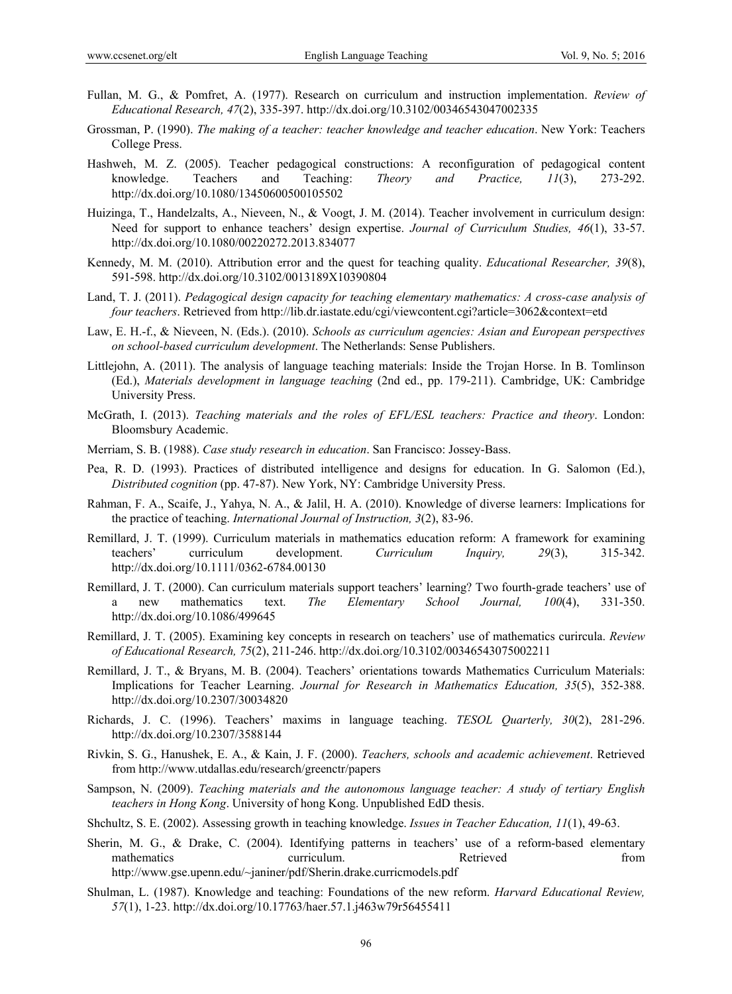- Fullan, M. G., & Pomfret, A. (1977). Research on curriculum and instruction implementation. *Review of Educational Research, 47*(2), 335-397. http://dx.doi.org/10.3102/00346543047002335
- Grossman, P. (1990). *The making of a teacher: teacher knowledge and teacher education*. New York: Teachers College Press.
- Hashweh, M. Z. (2005). Teacher pedagogical constructions: A reconfiguration of pedagogical content knowledge. Teachers and Teaching: *Theory and Practice, 11*(3), 273-292. http://dx.doi.org/10.1080/13450600500105502
- Huizinga, T., Handelzalts, A., Nieveen, N., & Voogt, J. M. (2014). Teacher involvement in curriculum design: Need for support to enhance teachers' design expertise. *Journal of Curriculum Studies, 46*(1), 33-57. http://dx.doi.org/10.1080/00220272.2013.834077
- Kennedy, M. M. (2010). Attribution error and the quest for teaching quality. *Educational Researcher, 39*(8), 591-598. http://dx.doi.org/10.3102/0013189X10390804
- Land, T. J. (2011). *Pedagogical design capacity for teaching elementary mathematics: A cross-case analysis of four teachers*. Retrieved from http://lib.dr.iastate.edu/cgi/viewcontent.cgi?article=3062&context=etd
- Law, E. H.-f., & Nieveen, N. (Eds.). (2010). *Schools as curriculum agencies: Asian and European perspectives on school-based curriculum development*. The Netherlands: Sense Publishers.
- Littlejohn, A. (2011). The analysis of language teaching materials: Inside the Trojan Horse. In B. Tomlinson (Ed.), *Materials development in language teaching* (2nd ed., pp. 179-211). Cambridge, UK: Cambridge University Press.
- McGrath, I. (2013). *Teaching materials and the roles of EFL/ESL teachers: Practice and theory*. London: Bloomsbury Academic.
- Merriam, S. B. (1988). *Case study research in education*. San Francisco: Jossey-Bass.
- Pea, R. D. (1993). Practices of distributed intelligence and designs for education. In G. Salomon (Ed.), *Distributed cognition* (pp. 47-87). New York, NY: Cambridge University Press.
- Rahman, F. A., Scaife, J., Yahya, N. A., & Jalil, H. A. (2010). Knowledge of diverse learners: Implications for the practice of teaching. *International Journal of Instruction, 3*(2), 83-96.
- Remillard, J. T. (1999). Curriculum materials in mathematics education reform: A framework for examining teachers' curriculum development. *Curriculum Inquiry, 29*(3), 315-342. http://dx.doi.org/10.1111/0362-6784.00130
- Remillard, J. T. (2000). Can curriculum materials support teachers' learning? Two fourth-grade teachers' use of a new mathematics text. *The Elementary School Journal, 100*(4), 331-350. http://dx.doi.org/10.1086/499645
- Remillard, J. T. (2005). Examining key concepts in research on teachers' use of mathematics curircula. *Review of Educational Research, 75*(2), 211-246. http://dx.doi.org/10.3102/00346543075002211
- Remillard, J. T., & Bryans, M. B. (2004). Teachers' orientations towards Mathematics Curriculum Materials: Implications for Teacher Learning. *Journal for Research in Mathematics Education, 35*(5), 352-388. http://dx.doi.org/10.2307/30034820
- Richards, J. C. (1996). Teachers' maxims in language teaching. *TESOL Quarterly, 30*(2), 281-296. http://dx.doi.org/10.2307/3588144
- Rivkin, S. G., Hanushek, E. A., & Kain, J. F. (2000). *Teachers, schools and academic achievement*. Retrieved from http://www.utdallas.edu/research/greenctr/papers
- Sampson, N. (2009). *Teaching materials and the autonomous language teacher: A study of tertiary English teachers in Hong Kong*. University of hong Kong. Unpublished EdD thesis.
- Shchultz, S. E. (2002). Assessing growth in teaching knowledge. *Issues in Teacher Education, 11*(1), 49-63.
- Sherin, M. G., & Drake, C. (2004). Identifying patterns in teachers' use of a reform-based elementary mathematics curriculum. Retrieved from  $\alpha$ http://www.gse.upenn.edu/~janiner/pdf/Sherin.drake.curricmodels.pdf
- Shulman, L. (1987). Knowledge and teaching: Foundations of the new reform. *Harvard Educational Review, 57*(1), 1-23. http://dx.doi.org/10.17763/haer.57.1.j463w79r56455411